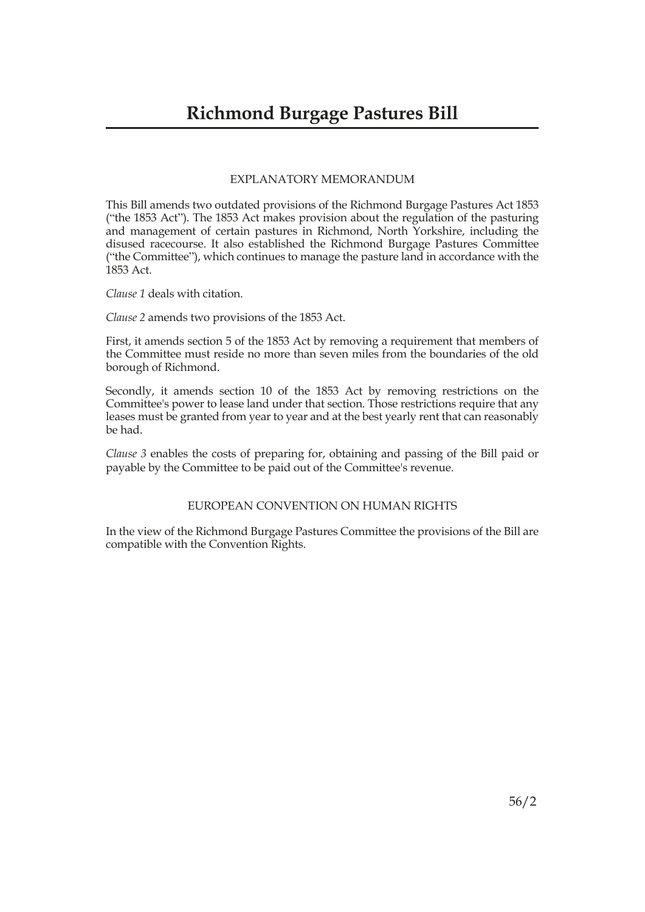#### EXPLANATORY MEMORANDUM

This Bill amends two outdated provisions of the Richmond Burgage Pastures Act 1853 ("the 1853 Act"). The 1853 Act makes provision about the regulation of the pasturing and management of certain pastures in Richmond, North Yorkshire, including the disused racecourse. It also established the Richmond Burgage Pastures Committee ("the Committee"), which continues to manage the pasture land in accordance with the 1853 Act.

*Clause 1* deals with citation.

*Clause 2* amends two provisions of the 1853 Act.

First, it amends section 5 of the 1853 Act by removing a requirement that members of the Committee must reside no more than seven miles from the boundaries of the old borough of Richmond.

Secondly, it amends section 10 of the 1853 Act by removing restrictions on the Committee's power to lease land under that section. Those restrictions require that any leases must be granted from year to year and at the best yearly rent that can reasonably be had.

*Clause 3* enables the costs of preparing for, obtaining and passing of the Bill paid or payable by the Committee to be paid out of the Committee's revenue.

#### EUROPEAN CONVENTION ON HUMAN RIGHTS

In the view of the Richmond Burgage Pastures Committee the provisions of the Bill are compatible with the Convention Rights.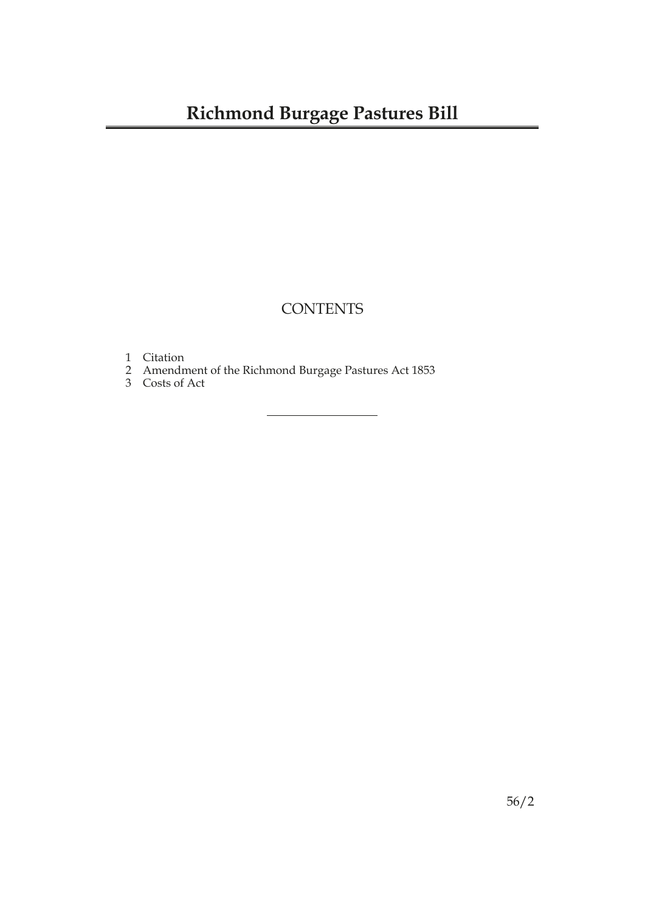## **CONTENTS**

- 1 Citation
- 2 Amendment of the Richmond Burgage Pastures Act 1853
- 3 Costs of Act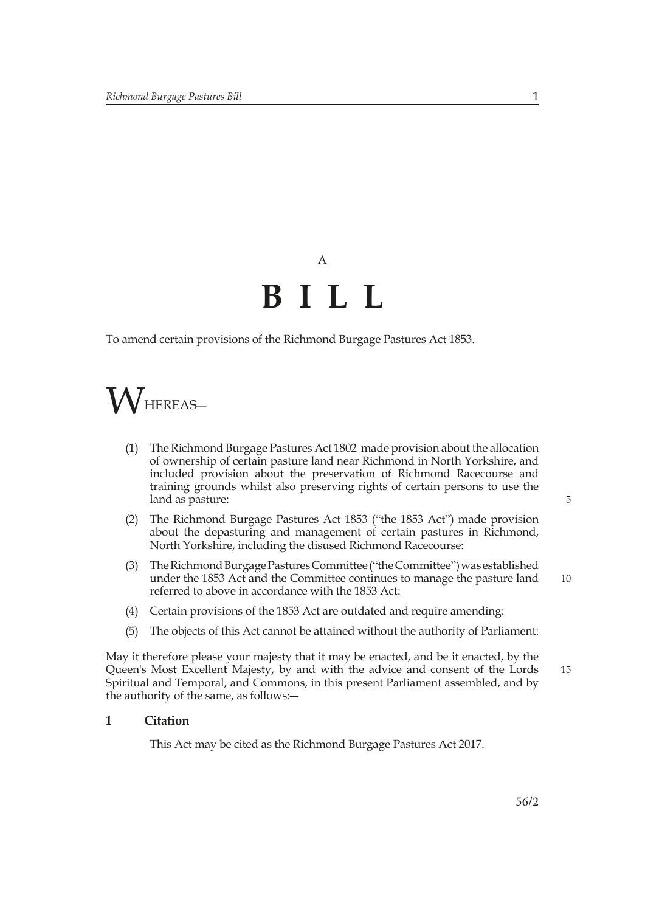# A **BILL**

To amend certain provisions of the Richmond Burgage Pastures Act 1853.



- (1) The Richmond Burgage Pastures Act 1802 made provision about the allocation of ownership of certain pasture land near Richmond in North Yorkshire, and included provision about the preservation of Richmond Racecourse and training grounds whilst also preserving rights of certain persons to use the land as pasture:
- (2) The Richmond Burgage Pastures Act 1853 ("the 1853 Act") made provision about the depasturing and management of certain pastures in Richmond, North Yorkshire, including the disused Richmond Racecourse:
- (3) The Richmond Burgage Pastures Committee ("the Committee") was established under the 1853 Act and the Committee continues to manage the pasture land referred to above in accordance with the 1853 Act:
- (4) Certain provisions of the 1853 Act are outdated and require amending:
- (5) The objects of this Act cannot be attained without the authority of Parliament:

May it therefore please your majesty that it may be enacted, and be it enacted, by the Queen's Most Excellent Majesty, by and with the advice and consent of the Lords Spiritual and Temporal, and Commons, in this present Parliament assembled, and by the authority of the same, as follows:―

#### **1 Citation**

This Act may be cited as the Richmond Burgage Pastures Act 2017.

5

10

15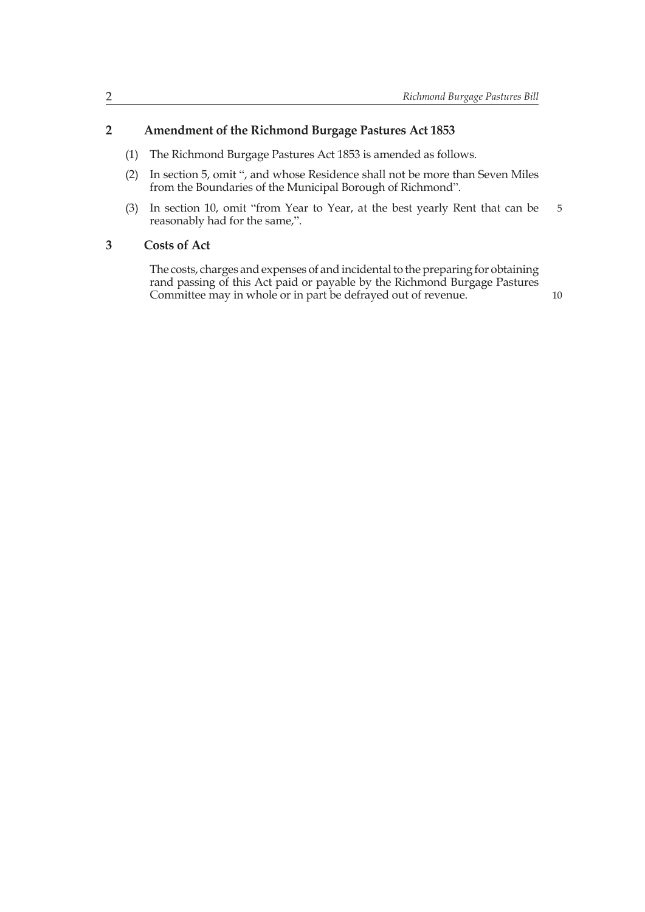### **2 Amendment of the Richmond Burgage Pastures Act 1853**

- (1) The Richmond Burgage Pastures Act 1853 is amended as follows.
- (2) In section 5, omit ", and whose Residence shall not be more than Seven Miles from the Boundaries of the Municipal Borough of Richmond".
- (3) In section 10, omit "from Year to Year, at the best yearly Rent that can be reasonably had for the same,". 5

#### **3 Costs of Act**

The costs, charges and expenses of and incidental to the preparing for obtaining rand passing of this Act paid or payable by the Richmond Burgage Pastures Committee may in whole or in part be defrayed out of revenue.